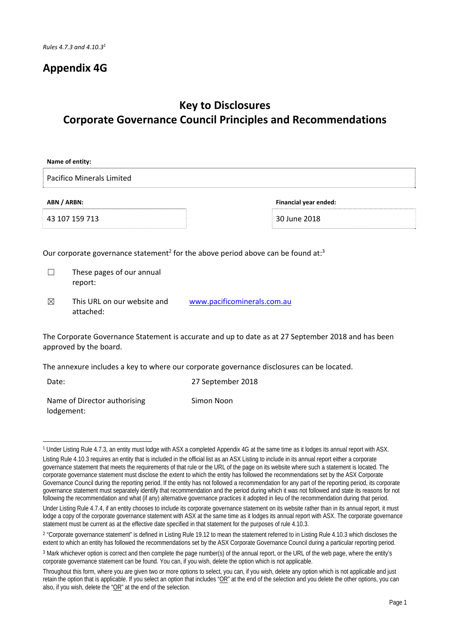## **Appendix 4G**

# **Key to Disclosures Corporate Governance Council Principles and Recommendations**

| Name of entity:                                                                                                              |                                          |                                                                                                          |  |  |
|------------------------------------------------------------------------------------------------------------------------------|------------------------------------------|----------------------------------------------------------------------------------------------------------|--|--|
|                                                                                                                              | <b>Pacifico Minerals Limited</b>         |                                                                                                          |  |  |
| ABN / ARBN:                                                                                                                  |                                          | Financial year ended:                                                                                    |  |  |
|                                                                                                                              | 43 107 159 713                           | 30 June 2018                                                                                             |  |  |
|                                                                                                                              |                                          | Our corporate governance statement <sup>2</sup> for the above period above can be found at: <sup>3</sup> |  |  |
|                                                                                                                              | These pages of our annual<br>report:     |                                                                                                          |  |  |
| ⊠                                                                                                                            | This URL on our website and<br>attached: | www.pacificominerals.com.au                                                                              |  |  |
| The Corporate Governance Statement is accurate and up to date as at 27 September 2018 and has been<br>approved by the board. |                                          |                                                                                                          |  |  |
| The annexure includes a key to where our corporate governance disclosures can be located.                                    |                                          |                                                                                                          |  |  |
| Date:                                                                                                                        | 27 September 2018                        |                                                                                                          |  |  |

Simon Noon

Name of Director authorising lodgement:

<sup>&</sup>lt;u> 1989 - Johann Stein, fransk politik (d. 1989)</u> 1 Under Listing Rule 4.7.3, an entity must lodge with ASX a completed Appendix 4G at the same time as it lodges its annual report with ASX.

Listing Rule 4.10.3 requires an entity that is included in the official list as an ASX Listing to include in its annual report either a corporate governance statement that meets the requirements of that rule or the URL of the page on its website where such a statement is located. The corporate governance statement must disclose the extent to which the entity has followed the recommendations set by the ASX Corporate Governance Council during the reporting period. If the entity has not followed a recommendation for any part of the reporting period, its corporate governance statement must separately identify that recommendation and the period during which it was not followed and state its reasons for not following the recommendation and what (if any) alternative governance practices it adopted in lieu of the recommendation during that period.

Under Listing Rule 4.7.4, if an entity chooses to include its corporate governance statement on its website rather than in its annual report, it must lodge a copy of the corporate governance statement with ASX at the same time as it lodges its annual report with ASX. The corporate governance statement must be current as at the effective date specified in that statement for the purposes of rule 4.10.3.

<sup>&</sup>lt;sup>2</sup> "Corporate governance statement" is defined in Listing Rule 19.12 to mean the statement referred to in Listing Rule 4.10.3 which discloses the extent to which an entity has followed the recommendations set by the ASX Corporate Governance Council during a particular reporting period.

<sup>3</sup> Mark whichever option is correct and then complete the page number(s) of the annual report, or the URL of the web page, where the entity's corporate governance statement can be found. You can, if you wish, delete the option which is not applicable.

Throughout this form, where you are given two or more options to select, you can, if you wish, delete any option which is not applicable and just retain the option that is applicable. If you select an option that includes " $\overrightarrow{OR}$ " at the end of the selection and you delete the other options, you can also, if you wish, delete the "OR" at the end of the selection.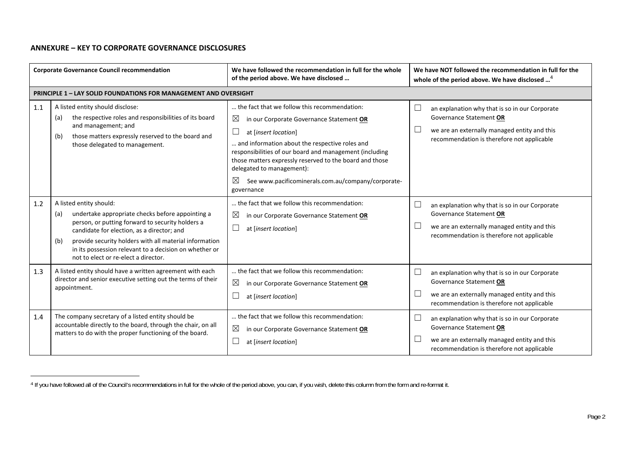### **ANNEXURE – KEY TO CORPORATE GOVERNANCE DISCLOSURES**

| <b>Corporate Governance Council recommendation</b> |                                                                                                                                                                                                                                                                                                                                                         | We have followed the recommendation in full for the whole<br>of the period above. We have disclosed                                                                                                                                                                                                                                                                                                                                       | We have NOT followed the recommendation in full for the<br>whole of the period above. We have disclosed <sup>4</sup>                                                                        |
|----------------------------------------------------|---------------------------------------------------------------------------------------------------------------------------------------------------------------------------------------------------------------------------------------------------------------------------------------------------------------------------------------------------------|-------------------------------------------------------------------------------------------------------------------------------------------------------------------------------------------------------------------------------------------------------------------------------------------------------------------------------------------------------------------------------------------------------------------------------------------|---------------------------------------------------------------------------------------------------------------------------------------------------------------------------------------------|
|                                                    | <b>PRINCIPLE 1 - LAY SOLID FOUNDATIONS FOR MANAGEMENT AND OVERSIGHT</b>                                                                                                                                                                                                                                                                                 |                                                                                                                                                                                                                                                                                                                                                                                                                                           |                                                                                                                                                                                             |
| 1.1                                                | A listed entity should disclose:<br>the respective roles and responsibilities of its board<br>(a)<br>and management; and<br>those matters expressly reserved to the board and<br>(b)<br>those delegated to management.                                                                                                                                  | the fact that we follow this recommendation:<br>$\boxtimes$<br>in our Corporate Governance Statement OR<br>$\overline{\phantom{a}}$<br>at [insert location]<br>and information about the respective roles and<br>responsibilities of our board and management (including<br>those matters expressly reserved to the board and those<br>delegated to management):<br>⊠<br>See www.pacificominerals.com.au/company/corporate-<br>governance | $\Box$<br>an explanation why that is so in our Corporate<br>Governance Statement OR<br>$\Box$<br>we are an externally managed entity and this<br>recommendation is therefore not applicable |
| 1.2                                                | A listed entity should:<br>undertake appropriate checks before appointing a<br>(a)<br>person, or putting forward to security holders a<br>candidate for election, as a director; and<br>provide security holders with all material information<br>(b)<br>in its possession relevant to a decision on whether or<br>not to elect or re-elect a director. | the fact that we follow this recommendation:<br>$\boxtimes$<br>in our Corporate Governance Statement OR<br>$\Box$<br>at [insert location]                                                                                                                                                                                                                                                                                                 | $\Box$<br>an explanation why that is so in our Corporate<br>Governance Statement OR<br>$\Box$<br>we are an externally managed entity and this<br>recommendation is therefore not applicable |
| 1.3                                                | A listed entity should have a written agreement with each<br>director and senior executive setting out the terms of their<br>appointment.                                                                                                                                                                                                               | the fact that we follow this recommendation:<br>$\boxtimes$<br>in our Corporate Governance Statement OR<br>at [insert location]                                                                                                                                                                                                                                                                                                           | ⊏<br>an explanation why that is so in our Corporate<br>Governance Statement OR<br>we are an externally managed entity and this<br>recommendation is therefore not applicable                |
| 1.4                                                | The company secretary of a listed entity should be<br>accountable directly to the board, through the chair, on all<br>matters to do with the proper functioning of the board.                                                                                                                                                                           | the fact that we follow this recommendation:<br>$\boxtimes$<br>in our Corporate Governance Statement OR<br>$\Box$<br>at [insert location]                                                                                                                                                                                                                                                                                                 | $\Box$<br>an explanation why that is so in our Corporate<br>Governance Statement OR<br>we are an externally managed entity and this<br>recommendation is therefore not applicable           |

<sup>&</sup>lt;sup>4</sup> If you have followed all of the Council's recommendations in full for the whole of the period above, you can, if you wish, delete this column from the form and re-format it.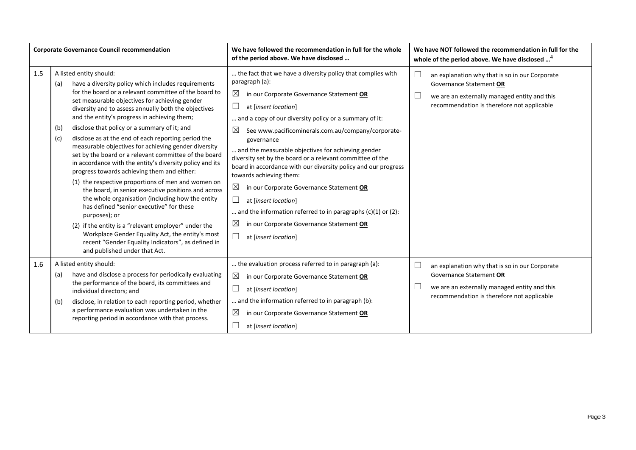| <b>Corporate Governance Council recommendation</b> |                                                                                                                                                                                                                                                                                                                                                                                                                                                                                                                                                                                                                                                                                                                                                                                                                                                                                                                                                                                                                                                                                            | We have followed the recommendation in full for the whole<br>of the period above. We have disclosed                                                                                                                                                                                                                                                                                                                                                                                                                                                                                                                                                                                                                                                                      | We have NOT followed the recommendation in full for the<br>whole of the period above. We have disclosed <sup>4</sup>                                                              |
|----------------------------------------------------|--------------------------------------------------------------------------------------------------------------------------------------------------------------------------------------------------------------------------------------------------------------------------------------------------------------------------------------------------------------------------------------------------------------------------------------------------------------------------------------------------------------------------------------------------------------------------------------------------------------------------------------------------------------------------------------------------------------------------------------------------------------------------------------------------------------------------------------------------------------------------------------------------------------------------------------------------------------------------------------------------------------------------------------------------------------------------------------------|--------------------------------------------------------------------------------------------------------------------------------------------------------------------------------------------------------------------------------------------------------------------------------------------------------------------------------------------------------------------------------------------------------------------------------------------------------------------------------------------------------------------------------------------------------------------------------------------------------------------------------------------------------------------------------------------------------------------------------------------------------------------------|-----------------------------------------------------------------------------------------------------------------------------------------------------------------------------------|
| 1.5                                                | A listed entity should:<br>have a diversity policy which includes requirements<br>(a)<br>for the board or a relevant committee of the board to<br>set measurable objectives for achieving gender<br>diversity and to assess annually both the objectives<br>and the entity's progress in achieving them;<br>disclose that policy or a summary of it; and<br>(b)<br>(c)<br>disclose as at the end of each reporting period the<br>measurable objectives for achieving gender diversity<br>set by the board or a relevant committee of the board<br>in accordance with the entity's diversity policy and its<br>progress towards achieving them and either:<br>(1) the respective proportions of men and women on<br>the board, in senior executive positions and across<br>the whole organisation (including how the entity<br>has defined "senior executive" for these<br>purposes); or<br>(2) if the entity is a "relevant employer" under the<br>Workplace Gender Equality Act, the entity's most<br>recent "Gender Equality Indicators", as defined in<br>and published under that Act. | the fact that we have a diversity policy that complies with<br>paragraph (a):<br>$\boxtimes$<br>in our Corporate Governance Statement OR<br>at [insert location]<br>ப<br>and a copy of our diversity policy or a summary of it:<br>$\boxtimes$<br>See www.pacificominerals.com.au/company/corporate-<br>governance<br>and the measurable objectives for achieving gender<br>diversity set by the board or a relevant committee of the<br>board in accordance with our diversity policy and our progress<br>towards achieving them:<br>⊠<br>in our Corporate Governance Statement OR<br>at [insert location]<br>and the information referred to in paragraphs $(c)(1)$ or $(2)$ :<br>$\boxtimes$<br>in our Corporate Governance Statement OR<br>at [insert location]<br>ப | $\Box$<br>an explanation why that is so in our Corporate<br>Governance Statement OR<br>we are an externally managed entity and this<br>recommendation is therefore not applicable |
| 1.6                                                | A listed entity should:<br>have and disclose a process for periodically evaluating<br>(a)<br>the performance of the board, its committees and<br>individual directors; and<br>disclose, in relation to each reporting period, whether<br>(b)<br>a performance evaluation was undertaken in the<br>reporting period in accordance with that process.                                                                                                                                                                                                                                                                                                                                                                                                                                                                                                                                                                                                                                                                                                                                        | the evaluation process referred to in paragraph (a):<br>$\boxtimes$<br>in our Corporate Governance Statement OR<br>at [insert location]<br>ப<br>and the information referred to in paragraph (b):<br>$\boxtimes$<br>in our Corporate Governance Statement OR<br>at [insert location]                                                                                                                                                                                                                                                                                                                                                                                                                                                                                     | ⊏<br>an explanation why that is so in our Corporate<br>Governance Statement OR<br>we are an externally managed entity and this<br>recommendation is therefore not applicable      |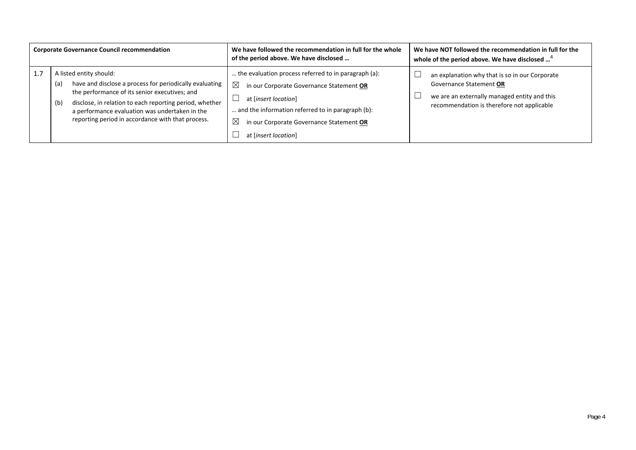| <b>Corporate Governance Council recommendation</b> |                                                                                                                                                                                                                                                                                                                     | We have followed the recommendation in full for the whole<br>of the period above. We have disclosed                                                                                                                                                                             | We have NOT followed the recommendation in full for the<br>whole of the period above. We have disclosed <sup>4</sup>                                                    |
|----------------------------------------------------|---------------------------------------------------------------------------------------------------------------------------------------------------------------------------------------------------------------------------------------------------------------------------------------------------------------------|---------------------------------------------------------------------------------------------------------------------------------------------------------------------------------------------------------------------------------------------------------------------------------|-------------------------------------------------------------------------------------------------------------------------------------------------------------------------|
| 1.7                                                | A listed entity should:<br>have and disclose a process for periodically evaluating<br>(a)<br>the performance of its senior executives; and<br>disclose, in relation to each reporting period, whether<br>(b)<br>a performance evaluation was undertaken in the<br>reporting period in accordance with that process. | the evaluation process referred to in paragraph (a):<br>$\boxtimes$<br>in our Corporate Governance Statement OR<br>at [insert location]<br>and the information referred to in paragraph (b):<br>$\boxtimes$<br>in our Corporate Governance Statement OR<br>at [insert location] | an explanation why that is so in our Corporate<br>Governance Statement OR<br>we are an externally managed entity and this<br>recommendation is therefore not applicable |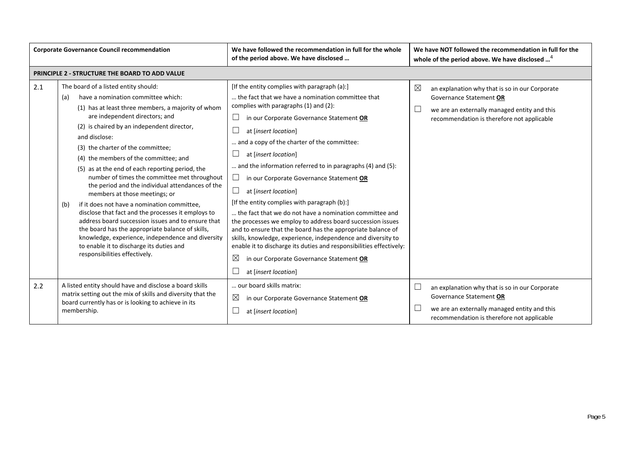| <b>Corporate Governance Council recommendation</b> |                                                                                                                                                                                                                                                                                                                                                                                                                                                                                                                                                                                                                                                                                                                                                                                                                                                                        | We have followed the recommendation in full for the whole<br>of the period above. We have disclosed                                                                                                                                                                                                                                                                                                                                                                                                                                                                                                                                                                                                                                                                                                                                                                                                                     | We have NOT followed the recommendation in full for the<br>whole of the period above. We have disclosed <sup>4</sup>                                                         |
|----------------------------------------------------|------------------------------------------------------------------------------------------------------------------------------------------------------------------------------------------------------------------------------------------------------------------------------------------------------------------------------------------------------------------------------------------------------------------------------------------------------------------------------------------------------------------------------------------------------------------------------------------------------------------------------------------------------------------------------------------------------------------------------------------------------------------------------------------------------------------------------------------------------------------------|-------------------------------------------------------------------------------------------------------------------------------------------------------------------------------------------------------------------------------------------------------------------------------------------------------------------------------------------------------------------------------------------------------------------------------------------------------------------------------------------------------------------------------------------------------------------------------------------------------------------------------------------------------------------------------------------------------------------------------------------------------------------------------------------------------------------------------------------------------------------------------------------------------------------------|------------------------------------------------------------------------------------------------------------------------------------------------------------------------------|
|                                                    | PRINCIPLE 2 - STRUCTURE THE BOARD TO ADD VALUE                                                                                                                                                                                                                                                                                                                                                                                                                                                                                                                                                                                                                                                                                                                                                                                                                         |                                                                                                                                                                                                                                                                                                                                                                                                                                                                                                                                                                                                                                                                                                                                                                                                                                                                                                                         |                                                                                                                                                                              |
| 2.1                                                | The board of a listed entity should:<br>have a nomination committee which:<br>(a)<br>(1) has at least three members, a majority of whom<br>are independent directors; and<br>(2) is chaired by an independent director,<br>and disclose:<br>(3) the charter of the committee;<br>(4) the members of the committee; and<br>(5) as at the end of each reporting period, the<br>number of times the committee met throughout<br>the period and the individual attendances of the<br>members at those meetings; or<br>if it does not have a nomination committee,<br>(b)<br>disclose that fact and the processes it employs to<br>address board succession issues and to ensure that<br>the board has the appropriate balance of skills,<br>knowledge, experience, independence and diversity<br>to enable it to discharge its duties and<br>responsibilities effectively. | [If the entity complies with paragraph (a):]<br>the fact that we have a nomination committee that<br>complies with paragraphs (1) and (2):<br>⊔<br>in our Corporate Governance Statement OR<br>at [insert location]<br>and a copy of the charter of the committee:<br>ப<br>at [insert location]<br>and the information referred to in paragraphs (4) and (5):<br>$\Box$<br>in our Corporate Governance Statement OR<br>$\Box$<br>at [insert location]<br>[If the entity complies with paragraph (b):]<br>the fact that we do not have a nomination committee and<br>the processes we employ to address board succession issues<br>and to ensure that the board has the appropriate balance of<br>skills, knowledge, experience, independence and diversity to<br>enable it to discharge its duties and responsibilities effectively:<br>$\boxtimes$<br>in our Corporate Governance Statement OR<br>at [insert location] | ⊠<br>an explanation why that is so in our Corporate<br>Governance Statement OR<br>we are an externally managed entity and this<br>recommendation is therefore not applicable |
| 2.2                                                | A listed entity should have and disclose a board skills<br>matrix setting out the mix of skills and diversity that the<br>board currently has or is looking to achieve in its<br>membership.                                                                                                                                                                                                                                                                                                                                                                                                                                                                                                                                                                                                                                                                           | our board skills matrix:<br>$\boxtimes$<br>in our Corporate Governance Statement OR<br>at [insert location]                                                                                                                                                                                                                                                                                                                                                                                                                                                                                                                                                                                                                                                                                                                                                                                                             | an explanation why that is so in our Corporate<br>Governance Statement OR<br>we are an externally managed entity and this<br>recommendation is therefore not applicable      |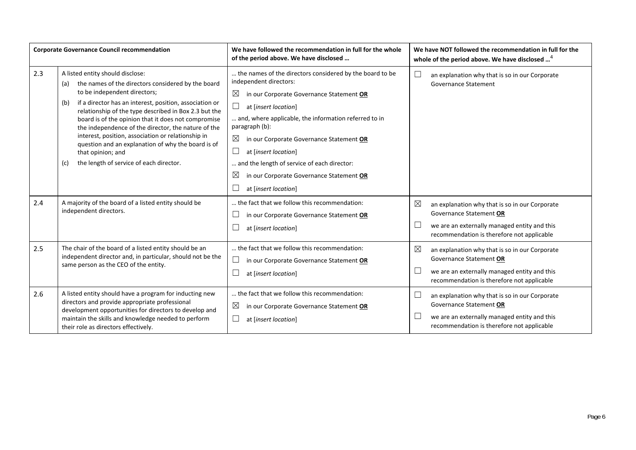| <b>Corporate Governance Council recommendation</b> |                                                                                                                                                                                                                                                                                                                                                                                                                                                                                                                                                           | We have followed the recommendation in full for the whole<br>of the period above. We have disclosed                                                                                                                                                                                                                                                                                                                                 | We have NOT followed the recommendation in full for the<br>whole of the period above. We have disclosed <sup>4</sup>                                                                   |
|----------------------------------------------------|-----------------------------------------------------------------------------------------------------------------------------------------------------------------------------------------------------------------------------------------------------------------------------------------------------------------------------------------------------------------------------------------------------------------------------------------------------------------------------------------------------------------------------------------------------------|-------------------------------------------------------------------------------------------------------------------------------------------------------------------------------------------------------------------------------------------------------------------------------------------------------------------------------------------------------------------------------------------------------------------------------------|----------------------------------------------------------------------------------------------------------------------------------------------------------------------------------------|
| 2.3                                                | A listed entity should disclose:<br>the names of the directors considered by the board<br>(a)<br>to be independent directors;<br>if a director has an interest, position, association or<br>(b)<br>relationship of the type described in Box 2.3 but the<br>board is of the opinion that it does not compromise<br>the independence of the director, the nature of the<br>interest, position, association or relationship in<br>question and an explanation of why the board is of<br>that opinion; and<br>the length of service of each director.<br>(c) | the names of the directors considered by the board to be<br>independent directors:<br>$\boxtimes$<br>in our Corporate Governance Statement OR<br>at [insert location]<br>and, where applicable, the information referred to in<br>paragraph (b):<br>⊠<br>in our Corporate Governance Statement OR<br>at [insert location]<br>and the length of service of each director:<br>$\boxtimes$<br>in our Corporate Governance Statement OR | $\Box$<br>an explanation why that is so in our Corporate<br><b>Governance Statement</b>                                                                                                |
| 2.4                                                | A majority of the board of a listed entity should be<br>independent directors.                                                                                                                                                                                                                                                                                                                                                                                                                                                                            | at [insert location]<br>the fact that we follow this recommendation:<br>in our Corporate Governance Statement OR<br>at [insert location]                                                                                                                                                                                                                                                                                            | $\boxtimes$<br>an explanation why that is so in our Corporate<br>Governance Statement OR<br>we are an externally managed entity and this<br>recommendation is therefore not applicable |
| 2.5                                                | The chair of the board of a listed entity should be an<br>independent director and, in particular, should not be the<br>same person as the CEO of the entity.                                                                                                                                                                                                                                                                                                                                                                                             | the fact that we follow this recommendation:<br>in our Corporate Governance Statement OR<br>at [insert location]                                                                                                                                                                                                                                                                                                                    | $\boxtimes$<br>an explanation why that is so in our Corporate<br>Governance Statement OR<br>we are an externally managed entity and this<br>recommendation is therefore not applicable |
| 2.6                                                | A listed entity should have a program for inducting new<br>directors and provide appropriate professional<br>development opportunities for directors to develop and<br>maintain the skills and knowledge needed to perform<br>their role as directors effectively.                                                                                                                                                                                                                                                                                        | the fact that we follow this recommendation:<br>$\boxtimes$<br>in our Corporate Governance Statement OR<br>at [insert location]                                                                                                                                                                                                                                                                                                     | $\Box$<br>an explanation why that is so in our Corporate<br>Governance Statement OR<br>we are an externally managed entity and this<br>recommendation is therefore not applicable      |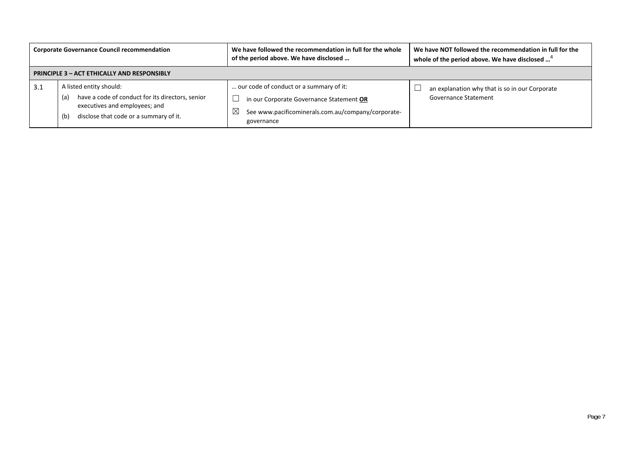| <b>Corporate Governance Council recommendation</b> |                                                                                                                                                                      | We have followed the recommendation in full for the whole<br>of the period above. We have disclosed                                                                    | We have NOT followed the recommendation in full for the<br>whole of the period above. We have disclosed <sup>4</sup> |  |
|----------------------------------------------------|----------------------------------------------------------------------------------------------------------------------------------------------------------------------|------------------------------------------------------------------------------------------------------------------------------------------------------------------------|----------------------------------------------------------------------------------------------------------------------|--|
|                                                    | <b>PRINCIPLE 3 - ACT ETHICALLY AND RESPONSIBLY</b>                                                                                                                   |                                                                                                                                                                        |                                                                                                                      |  |
| 3.1                                                | A listed entity should:<br>have a code of conduct for its directors, senior<br>(a)<br>executives and employees; and<br>disclose that code or a summary of it.<br>(b) | our code of conduct or a summary of it:<br>in our Corporate Governance Statement OR<br>$\boxtimes$<br>See www.pacificominerals.com.au/company/corporate-<br>governance | an explanation why that is so in our Corporate<br><b>Governance Statement</b>                                        |  |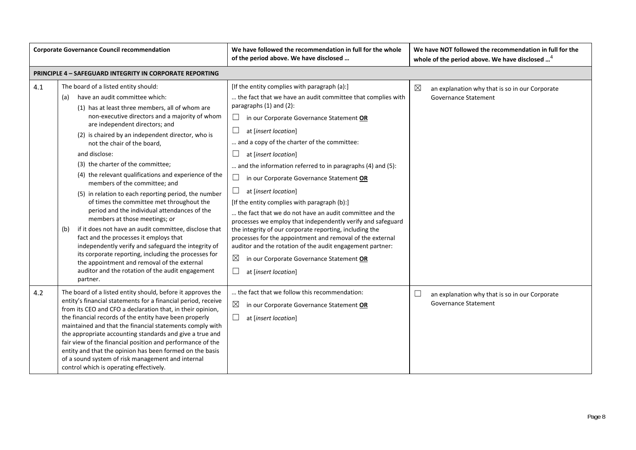| <b>Corporate Governance Council recommendation</b> |                                                                                                                                                                                                                                                                                                                                                                                                                                                                                                                                                                                                                                                                                                                                                                                                                                                                                                                                                                                        | We have followed the recommendation in full for the whole<br>of the period above. We have disclosed                                                                                                                                                                                                                                                                                                                                                                                                                                                                                                                                                                                                                                                                                                                                                                                       | We have NOT followed the recommendation in full for the<br>whole of the period above. We have disclosed <sup>4</sup> |
|----------------------------------------------------|----------------------------------------------------------------------------------------------------------------------------------------------------------------------------------------------------------------------------------------------------------------------------------------------------------------------------------------------------------------------------------------------------------------------------------------------------------------------------------------------------------------------------------------------------------------------------------------------------------------------------------------------------------------------------------------------------------------------------------------------------------------------------------------------------------------------------------------------------------------------------------------------------------------------------------------------------------------------------------------|-------------------------------------------------------------------------------------------------------------------------------------------------------------------------------------------------------------------------------------------------------------------------------------------------------------------------------------------------------------------------------------------------------------------------------------------------------------------------------------------------------------------------------------------------------------------------------------------------------------------------------------------------------------------------------------------------------------------------------------------------------------------------------------------------------------------------------------------------------------------------------------------|----------------------------------------------------------------------------------------------------------------------|
|                                                    | <b>PRINCIPLE 4 - SAFEGUARD INTEGRITY IN CORPORATE REPORTING</b>                                                                                                                                                                                                                                                                                                                                                                                                                                                                                                                                                                                                                                                                                                                                                                                                                                                                                                                        |                                                                                                                                                                                                                                                                                                                                                                                                                                                                                                                                                                                                                                                                                                                                                                                                                                                                                           |                                                                                                                      |
| 4.1                                                | The board of a listed entity should:<br>have an audit committee which:<br>(a)<br>(1) has at least three members, all of whom are<br>non-executive directors and a majority of whom<br>are independent directors; and<br>(2) is chaired by an independent director, who is<br>not the chair of the board,<br>and disclose:<br>(3) the charter of the committee;<br>(4) the relevant qualifications and experience of the<br>members of the committee; and<br>(5) in relation to each reporting period, the number<br>of times the committee met throughout the<br>period and the individual attendances of the<br>members at those meetings; or<br>if it does not have an audit committee, disclose that<br>(b)<br>fact and the processes it employs that<br>independently verify and safeguard the integrity of<br>its corporate reporting, including the processes for<br>the appointment and removal of the external<br>auditor and the rotation of the audit engagement<br>partner. | [If the entity complies with paragraph (a):]<br>the fact that we have an audit committee that complies with<br>paragraphs (1) and (2):<br>$\Box$<br>in our Corporate Governance Statement OR<br>at [insert location]<br>and a copy of the charter of the committee:<br>at [insert location]<br>and the information referred to in paragraphs (4) and (5):<br>$\Box$<br>in our Corporate Governance Statement OR<br>at [insert location]<br>[If the entity complies with paragraph (b):]<br>the fact that we do not have an audit committee and the<br>processes we employ that independently verify and safeguard<br>the integrity of our corporate reporting, including the<br>processes for the appointment and removal of the external<br>auditor and the rotation of the audit engagement partner:<br>$\boxtimes$<br>in our Corporate Governance Statement OR<br>at [insert location] | $\boxtimes$<br>an explanation why that is so in our Corporate<br><b>Governance Statement</b>                         |
| 4.2                                                | The board of a listed entity should, before it approves the<br>entity's financial statements for a financial period, receive<br>from its CEO and CFO a declaration that, in their opinion,<br>the financial records of the entity have been properly<br>maintained and that the financial statements comply with<br>the appropriate accounting standards and give a true and<br>fair view of the financial position and performance of the<br>entity and that the opinion has been formed on the basis<br>of a sound system of risk management and internal<br>control which is operating effectively.                                                                                                                                                                                                                                                                                                                                                                                 | the fact that we follow this recommendation:<br>$\boxtimes$<br>in our Corporate Governance Statement OR<br>ப<br>at [insert location]                                                                                                                                                                                                                                                                                                                                                                                                                                                                                                                                                                                                                                                                                                                                                      | ⊔<br>an explanation why that is so in our Corporate<br><b>Governance Statement</b>                                   |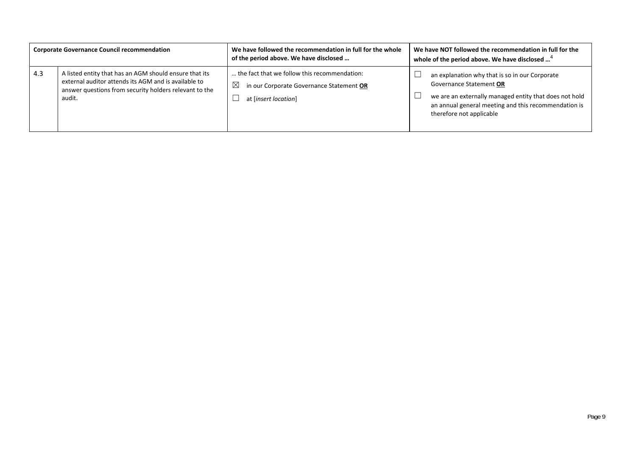| <b>Corporate Governance Council recommendation</b> |                                                                                                                                                                                    | We have followed the recommendation in full for the whole<br>of the period above. We have disclosed                             | We have NOT followed the recommendation in full for the<br>whole of the period above. We have disclosed <sup>4</sup>                                                                                                    |
|----------------------------------------------------|------------------------------------------------------------------------------------------------------------------------------------------------------------------------------------|---------------------------------------------------------------------------------------------------------------------------------|-------------------------------------------------------------------------------------------------------------------------------------------------------------------------------------------------------------------------|
| 4.3                                                | A listed entity that has an AGM should ensure that its<br>external auditor attends its AGM and is available to<br>answer questions from security holders relevant to the<br>audit. | the fact that we follow this recommendation:<br>$\boxtimes$<br>in our Corporate Governance Statement OR<br>at [insert location] | an explanation why that is so in our Corporate<br>Governance Statement OR<br>we are an externally managed entity that does not hold<br>an annual general meeting and this recommendation is<br>therefore not applicable |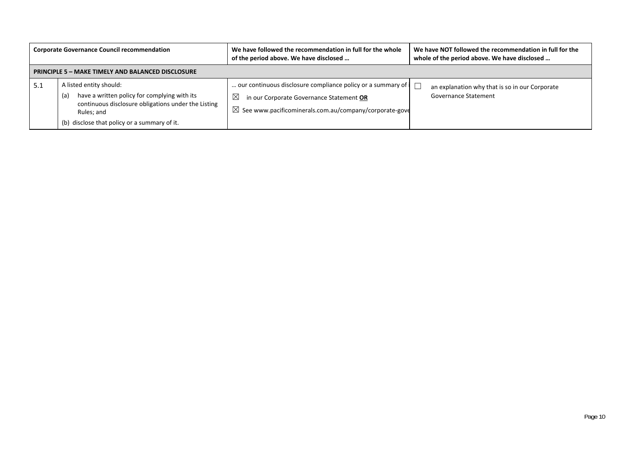| <b>Corporate Governance Council recommendation</b> |                                                                                                                                                                                                     | We have followed the recommendation in full for the whole<br>of the period above. We have disclosed                                                                                                       | We have NOT followed the recommendation in full for the<br>whole of the period above. We have disclosed |  |
|----------------------------------------------------|-----------------------------------------------------------------------------------------------------------------------------------------------------------------------------------------------------|-----------------------------------------------------------------------------------------------------------------------------------------------------------------------------------------------------------|---------------------------------------------------------------------------------------------------------|--|
|                                                    | <b>PRINCIPLE 5 - MAKE TIMELY AND BALANCED DISCLOSURE</b>                                                                                                                                            |                                                                                                                                                                                                           |                                                                                                         |  |
| -5.1                                               | A listed entity should:<br>have a written policy for complying with its<br>(a)<br>continuous disclosure obligations under the Listing<br>Rules; and<br>(b) disclose that policy or a summary of it. | our continuous disclosure compliance policy or a summary of $\vert \Box$<br>$\boxtimes$<br>in our Corporate Governance Statement OR<br>$\boxtimes$ See www.pacificominerals.com.au/company/corporate-gove | an explanation why that is so in our Corporate<br><b>Governance Statement</b>                           |  |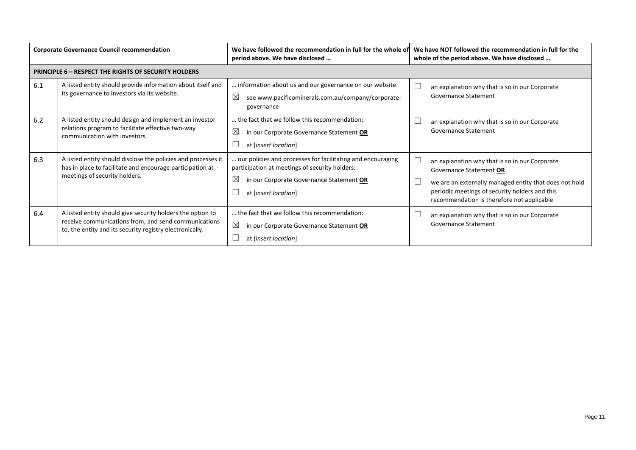| <b>Corporate Governance Council recommendation</b> |                                                                                                                                                                                | We have followed the recommendation in full for the whole of<br>period above. We have disclosed                                                                                        | We have NOT followed the recommendation in full for the<br>whole of the period above. We have disclosed                                                                                                                             |
|----------------------------------------------------|--------------------------------------------------------------------------------------------------------------------------------------------------------------------------------|----------------------------------------------------------------------------------------------------------------------------------------------------------------------------------------|-------------------------------------------------------------------------------------------------------------------------------------------------------------------------------------------------------------------------------------|
|                                                    | <b>PRINCIPLE 6 - RESPECT THE RIGHTS OF SECURITY HOLDERS</b>                                                                                                                    |                                                                                                                                                                                        |                                                                                                                                                                                                                                     |
| 6.1                                                | A listed entity should provide information about itself and<br>its governance to investors via its website.                                                                    | information about us and our governance on our website:<br>$\boxtimes$<br>see www.pacificominerals.com.au/company/corporate-<br>governance                                             | an explanation why that is so in our Corporate<br>Governance Statement                                                                                                                                                              |
| 6.2                                                | A listed entity should design and implement an investor<br>relations program to facilitate effective two-way<br>communication with investors.                                  | the fact that we follow this recommendation:<br>$\boxtimes$<br>in our Corporate Governance Statement OR<br>at [insert location]                                                        | an explanation why that is so in our Corporate<br>Governance Statement                                                                                                                                                              |
| 6.3                                                | A listed entity should disclose the policies and processes it<br>has in place to facilitate and encourage participation at<br>meetings of security holders.                    | our policies and processes for facilitating and encouraging<br>participation at meetings of security holders:<br>⊠<br>in our Corporate Governance Statement OR<br>at [insert location] | an explanation why that is so in our Corporate<br>Governance Statement OR<br>we are an externally managed entity that does not hold<br>periodic meetings of security holders and this<br>recommendation is therefore not applicable |
| 6.4                                                | A listed entity should give security holders the option to<br>receive communications from, and send communications<br>to, the entity and its security registry electronically. | the fact that we follow this recommendation:<br>$\boxtimes$<br>in our Corporate Governance Statement OR<br>at [insert location]                                                        | an explanation why that is so in our Corporate<br><b>Governance Statement</b>                                                                                                                                                       |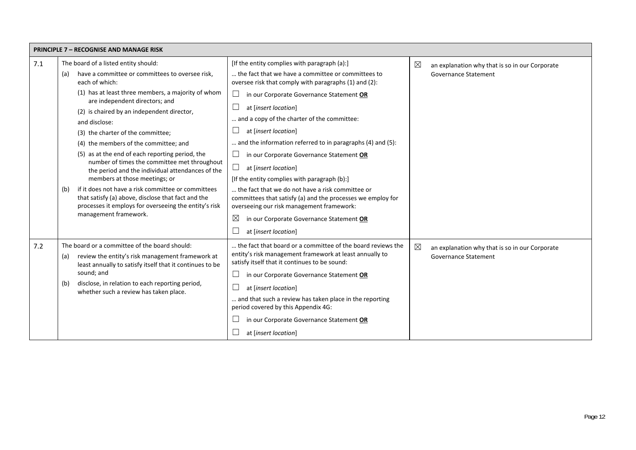| <b>PRINCIPLE 7 - RECOGNISE AND MANAGE RISK</b> |                                                                                                                                                                                                   |                                                                                                                                                              |                                                               |
|------------------------------------------------|---------------------------------------------------------------------------------------------------------------------------------------------------------------------------------------------------|--------------------------------------------------------------------------------------------------------------------------------------------------------------|---------------------------------------------------------------|
| 7.1                                            | The board of a listed entity should:                                                                                                                                                              | [If the entity complies with paragraph (a):]                                                                                                                 | $\boxtimes$<br>an explanation why that is so in our Corporate |
|                                                | have a committee or committees to oversee risk,<br>(a)<br>each of which:                                                                                                                          | the fact that we have a committee or committees to<br>oversee risk that comply with paragraphs (1) and (2):                                                  | <b>Governance Statement</b>                                   |
|                                                | (1) has at least three members, a majority of whom<br>are independent directors; and                                                                                                              | ப<br>in our Corporate Governance Statement OR<br>at [insert location]                                                                                        |                                                               |
|                                                | (2) is chaired by an independent director,<br>and disclose:                                                                                                                                       | and a copy of the charter of the committee:                                                                                                                  |                                                               |
|                                                | (3) the charter of the committee;                                                                                                                                                                 | at [insert location]                                                                                                                                         |                                                               |
|                                                | (4) the members of the committee; and                                                                                                                                                             | and the information referred to in paragraphs (4) and (5):                                                                                                   |                                                               |
|                                                | (5) as at the end of each reporting period, the                                                                                                                                                   | in our Corporate Governance Statement OR                                                                                                                     |                                                               |
|                                                | number of times the committee met throughout<br>the period and the individual attendances of the                                                                                                  | $\Box$<br>at [insert location]                                                                                                                               |                                                               |
|                                                | members at those meetings; or                                                                                                                                                                     | [If the entity complies with paragraph (b):]                                                                                                                 |                                                               |
|                                                | if it does not have a risk committee or committees<br>(b)<br>that satisfy (a) above, disclose that fact and the<br>processes it employs for overseeing the entity's risk<br>management framework. | the fact that we do not have a risk committee or<br>committees that satisfy (a) and the processes we employ for<br>overseeing our risk management framework: |                                                               |
|                                                |                                                                                                                                                                                                   | $\boxtimes$<br>in our Corporate Governance Statement OR                                                                                                      |                                                               |
|                                                |                                                                                                                                                                                                   | at [insert location]                                                                                                                                         |                                                               |
| 7.2                                            | The board or a committee of the board should:                                                                                                                                                     | the fact that board or a committee of the board reviews the                                                                                                  | $\boxtimes$<br>an explanation why that is so in our Corporate |
|                                                | review the entity's risk management framework at<br>(a)<br>least annually to satisfy itself that it continues to be                                                                               | entity's risk management framework at least annually to<br>satisfy itself that it continues to be sound:                                                     | Governance Statement                                          |
|                                                | sound; and                                                                                                                                                                                        | ⊔<br>in our Corporate Governance Statement OR                                                                                                                |                                                               |
|                                                | disclose, in relation to each reporting period,<br>(b)<br>whether such a review has taken place.                                                                                                  | at [insert location]                                                                                                                                         |                                                               |
|                                                |                                                                                                                                                                                                   | and that such a review has taken place in the reporting<br>period covered by this Appendix 4G:                                                               |                                                               |
|                                                |                                                                                                                                                                                                   | in our Corporate Governance Statement OR                                                                                                                     |                                                               |
|                                                |                                                                                                                                                                                                   | at [insert location]                                                                                                                                         |                                                               |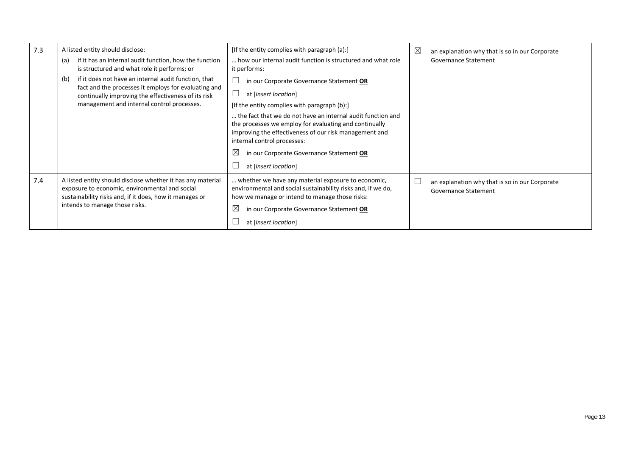| 7.3 | A listed entity should disclose:                                                                                                                                                                           | [If the entity complies with paragraph (a):]                                                                                                                                                                          | ⊠<br>an explanation why that is so in our Corporate                    |
|-----|------------------------------------------------------------------------------------------------------------------------------------------------------------------------------------------------------------|-----------------------------------------------------------------------------------------------------------------------------------------------------------------------------------------------------------------------|------------------------------------------------------------------------|
|     | if it has an internal audit function, how the function<br>(a)<br>is structured and what role it performs; or                                                                                               | how our internal audit function is structured and what role<br>it performs:                                                                                                                                           | Governance Statement                                                   |
|     | if it does not have an internal audit function, that<br>(b)<br>fact and the processes it employs for evaluating and                                                                                        | in our Corporate Governance Statement OR                                                                                                                                                                              |                                                                        |
|     | continually improving the effectiveness of its risk                                                                                                                                                        | at [insert location]                                                                                                                                                                                                  |                                                                        |
|     | management and internal control processes.                                                                                                                                                                 | [If the entity complies with paragraph (b):]                                                                                                                                                                          |                                                                        |
|     |                                                                                                                                                                                                            | the fact that we do not have an internal audit function and<br>the processes we employ for evaluating and continually<br>improving the effectiveness of our risk management and<br>internal control processes:        |                                                                        |
|     |                                                                                                                                                                                                            | ⊠<br>in our Corporate Governance Statement OR                                                                                                                                                                         |                                                                        |
|     |                                                                                                                                                                                                            | at [insert location]                                                                                                                                                                                                  |                                                                        |
| 7.4 | A listed entity should disclose whether it has any material<br>exposure to economic, environmental and social<br>sustainability risks and, if it does, how it manages or<br>intends to manage those risks. | whether we have any material exposure to economic,<br>environmental and social sustainability risks and, if we do,<br>how we manage or intend to manage those risks:<br>⊠<br>in our Corporate Governance Statement OR | an explanation why that is so in our Corporate<br>Governance Statement |
|     |                                                                                                                                                                                                            | at [insert location]                                                                                                                                                                                                  |                                                                        |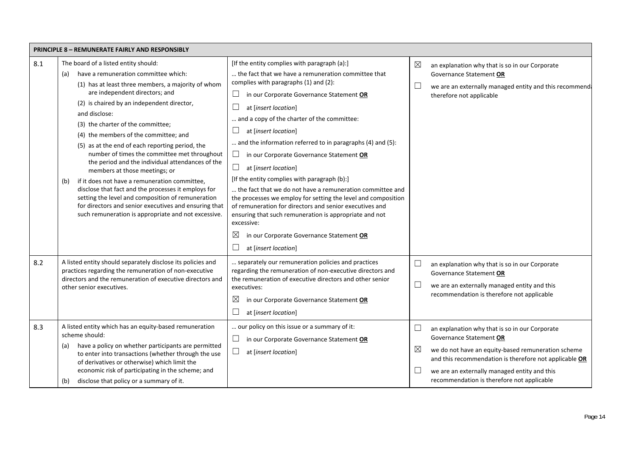|     | <b>PRINCIPLE 8 - REMUNERATE FAIRLY AND RESPONSIBLY</b>                                                                                                                                                                                                                                                                                                                                                                                                                                                                                                                                                                                                                                                                                                                                               |                                                                                                                                                                                                                                                                                                                                                                                                                                                                                                                                                                                                                                                                                                                                                                                                                                    |             |                                                                                                                                                                                                                                                                                         |
|-----|------------------------------------------------------------------------------------------------------------------------------------------------------------------------------------------------------------------------------------------------------------------------------------------------------------------------------------------------------------------------------------------------------------------------------------------------------------------------------------------------------------------------------------------------------------------------------------------------------------------------------------------------------------------------------------------------------------------------------------------------------------------------------------------------------|------------------------------------------------------------------------------------------------------------------------------------------------------------------------------------------------------------------------------------------------------------------------------------------------------------------------------------------------------------------------------------------------------------------------------------------------------------------------------------------------------------------------------------------------------------------------------------------------------------------------------------------------------------------------------------------------------------------------------------------------------------------------------------------------------------------------------------|-------------|-----------------------------------------------------------------------------------------------------------------------------------------------------------------------------------------------------------------------------------------------------------------------------------------|
| 8.1 | The board of a listed entity should:<br>have a remuneration committee which:<br>(a)<br>(1) has at least three members, a majority of whom<br>are independent directors; and<br>(2) is chaired by an independent director,<br>and disclose:<br>(3) the charter of the committee;<br>(4) the members of the committee; and<br>(5) as at the end of each reporting period, the<br>number of times the committee met throughout<br>the period and the individual attendances of the<br>members at those meetings; or<br>if it does not have a remuneration committee,<br>(b)<br>disclose that fact and the processes it employs for<br>setting the level and composition of remuneration<br>for directors and senior executives and ensuring that<br>such remuneration is appropriate and not excessive. | [If the entity complies with paragraph (a):]<br>the fact that we have a remuneration committee that<br>complies with paragraphs (1) and (2):<br>in our Corporate Governance Statement OR<br>at [insert location]<br>and a copy of the charter of the committee:<br>at [insert location]<br>and the information referred to in paragraphs (4) and (5):<br>in our Corporate Governance Statement OR<br>at [insert location]<br>ப<br>[If the entity complies with paragraph (b):]<br>the fact that we do not have a remuneration committee and<br>the processes we employ for setting the level and composition<br>of remuneration for directors and senior executives and<br>ensuring that such remuneration is appropriate and not<br>excessive:<br>$\boxtimes$<br>in our Corporate Governance Statement OR<br>at [insert location] | $\boxtimes$ | an explanation why that is so in our Corporate<br>Governance Statement OR<br>we are an externally managed entity and this recommend.<br>therefore not applicable                                                                                                                        |
| 8.2 | A listed entity should separately disclose its policies and<br>practices regarding the remuneration of non-executive<br>directors and the remuneration of executive directors and<br>other senior executives.                                                                                                                                                                                                                                                                                                                                                                                                                                                                                                                                                                                        | separately our remuneration policies and practices<br>regarding the remuneration of non-executive directors and<br>the remuneration of executive directors and other senior<br>executives:<br>⊠<br>in our Corporate Governance Statement OR<br>at [insert location]                                                                                                                                                                                                                                                                                                                                                                                                                                                                                                                                                                | $\Box$      | an explanation why that is so in our Corporate<br>Governance Statement OR<br>we are an externally managed entity and this<br>recommendation is therefore not applicable                                                                                                                 |
| 8.3 | A listed entity which has an equity-based remuneration<br>scheme should:<br>have a policy on whether participants are permitted<br>(a)<br>to enter into transactions (whether through the use<br>of derivatives or otherwise) which limit the<br>economic risk of participating in the scheme; and<br>disclose that policy or a summary of it.<br>(b)                                                                                                                                                                                                                                                                                                                                                                                                                                                | our policy on this issue or a summary of it:<br>in our Corporate Governance Statement OR<br>ப<br>at [insert location]<br>ப                                                                                                                                                                                                                                                                                                                                                                                                                                                                                                                                                                                                                                                                                                         | ⊠           | an explanation why that is so in our Corporate<br>Governance Statement OR<br>we do not have an equity-based remuneration scheme<br>and this recommendation is therefore not applicable OR<br>we are an externally managed entity and this<br>recommendation is therefore not applicable |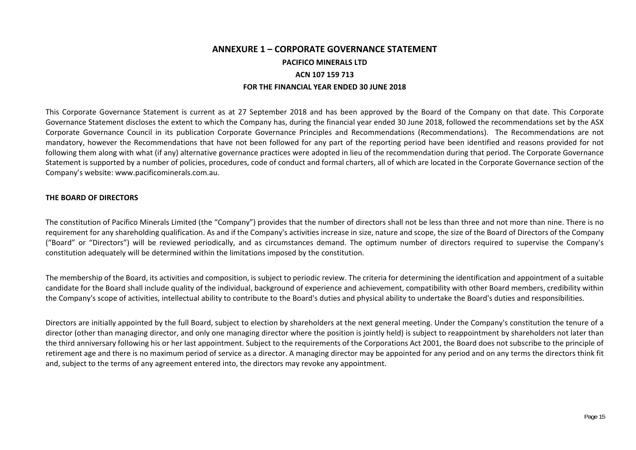## **ANNEXURE 1 – CORPORATE GOVERNANCE STATEMENT PACIFICO MINERALS LTD ACN 107 159 713 FOR THE FINANCIAL YEAR ENDED 30 JUNE 2018**

This Corporate Governance Statement is current as at 27 September 2018 and has been approved by the Board of the Company on that date. This Corporate Governance Statement discloses the extent to which the Company has, during the financial year ended 30 June 2018, followed the recommendations set by the ASX Corporate Governance Council in its publication Corporate Governance Principles and Recommendations (Recommendations). The Recommendations are not mandatory, however the Recommendations that have not been followed for any part of the reporting period have been identified and reasons provided for not following them along with what (if any) alternative governance practices were adopted in lieu of the recommendation during that period. The Corporate Governance Statement is supported by a number of policies, procedures, code of conduct and formal charters, all of which are located in the Corporate Governance section of the Company's website: www.pacificominerals.com.au.

#### **THE BOARD OF DIRECTORS**

The constitution of Pacifico Minerals Limited (the "Company") provides that the number of directors shall not be less than three and not more than nine. There is no requirement for any shareholding qualification. As and if the Company's activities increase in size, nature and scope, the size of the Board of Directors of the Company ("Board" or "Directors") will be reviewed periodically, and as circumstances demand. The optimum number of directors required to supervise the Company's constitution adequately will be determined within the limitations imposed by the constitution.

The membership of the Board, its activities and composition, is subject to periodic review. The criteria for determining the identification and appointment of a suitable candidate for the Board shall include quality of the individual, background of experience and achievement, compatibility with other Board members, credibility within the Company's scope of activities, intellectual ability to contribute to the Board's duties and physical ability to undertake the Board's duties and responsibilities.

Directors are initially appointed by the full Board, subject to election by shareholders at the next general meeting. Under the Company's constitution the tenure of a director (other than managing director, and only one managing director where the position is jointly held) is subject to reappointment by shareholders not later than the third anniversary following his or her last appointment. Subject to the requirements of the Corporations Act 2001, the Board does not subscribe to the principle of retirement age and there is no maximum period of service as a director. A managing director may be appointed for any period and on any terms the directors think fit and, subject to the terms of any agreement entered into, the directors may revoke any appointment.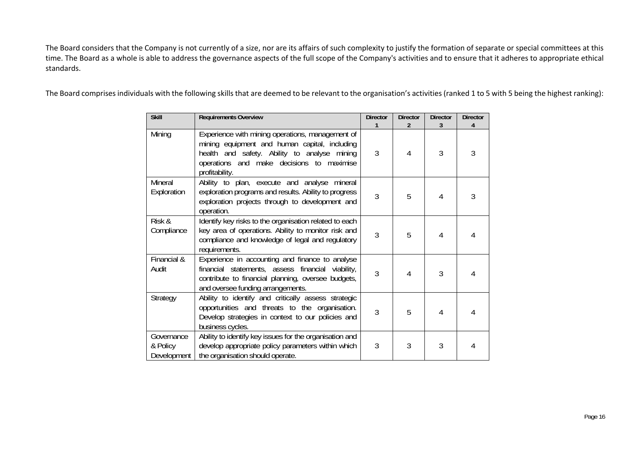The Board considers that the Company is not currently of a size, nor are its affairs of such complexity to justify the formation of separate or special committees at this time. The Board as a whole is able to address the governance aspects of the full scope of the Company's activities and to ensure that it adheres to appropriate ethical standards.

The Board comprises individuals with the following skills that are deemed to be relevant to the organisation's activities (ranked 1 to 5 with 5 being the highest ranking):

| <b>Skill</b>                          | <b>Requirements Overview</b>                                                                                                                                                                                     | <b>Director</b> | <b>Director</b><br>$\overline{2}$ | <b>Director</b> | <b>Director</b><br>4 |
|---------------------------------------|------------------------------------------------------------------------------------------------------------------------------------------------------------------------------------------------------------------|-----------------|-----------------------------------|-----------------|----------------------|
| Mining                                | Experience with mining operations, management of<br>mining equipment and human capital, including<br>health and safety. Ability to analyse mining<br>operations and make decisions to maximise<br>profitability. | 3               | 4                                 | 3               | 3                    |
| Mineral<br>Exploration                | Ability to plan, execute and analyse mineral<br>exploration programs and results. Ability to progress<br>exploration projects through to development and<br>operation.                                           | 3               | 5                                 | 4               | 3                    |
| Risk &<br>Compliance                  | Identify key risks to the organisation related to each<br>key area of operations. Ability to monitor risk and<br>compliance and knowledge of legal and regulatory<br>requirements.                               | 3               | 5                                 | 4               |                      |
| Financial &<br>Audit                  | Experience in accounting and finance to analyse<br>financial statements, assess financial viability,<br>contribute to financial planning, oversee budgets,<br>and oversee funding arrangements.                  | 3               | 4                                 | 3               |                      |
| Strategy                              | Ability to identify and critically assess strategic<br>opportunities and threats to the organisation.<br>Develop strategies in context to our policies and<br>business cycles.                                   | 3               | 5                                 | 4               |                      |
| Governance<br>& Policy<br>Development | Ability to identify key issues for the organisation and<br>develop appropriate policy parameters within which<br>the organisation should operate.                                                                | 3               | 3                                 | 3               |                      |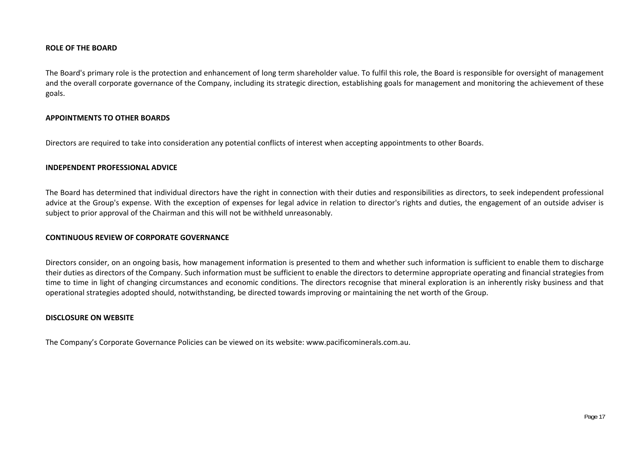#### **ROLE OF THE BOARD**

The Board's primary role is the protection and enhancement of long term shareholder value. To fulfil this role, the Board is responsible for oversight of management and the overall corporate governance of the Company, including its strategic direction, establishing goals for management and monitoring the achievement of these goals.

#### **APPOINTMENTS TO OTHER BOARDS**

Directors are required to take into consideration any potential conflicts of interest when accepting appointments to other Boards.

#### **INDEPENDENT PROFESSIONAL ADVICE**

The Board has determined that individual directors have the right in connection with their duties and responsibilities as directors, to seek independent professional advice at the Group's expense. With the exception of expenses for legal advice in relation to director's rights and duties, the engagement of an outside adviser is subject to prior approval of the Chairman and this will not be withheld unreasonably.

#### **CONTINUOUS REVIEW OF CORPORATE GOVERNANCE**

Directors consider, on an ongoing basis, how management information is presented to them and whether such information is sufficient to enable them to discharge their duties as directors of the Company. Such information must be sufficient to enable the directors to determine appropriate operating and financial strategies from time to time in light of changing circumstances and economic conditions. The directors recognise that mineral exploration is an inherently risky business and that operational strategies adopted should, notwithstanding, be directed towards improving or maintaining the net worth of the Group.

#### **DISCLOSURE ON WEBSITE**

The Company's Corporate Governance Policies can be viewed on its website: www.pacificominerals.com.au.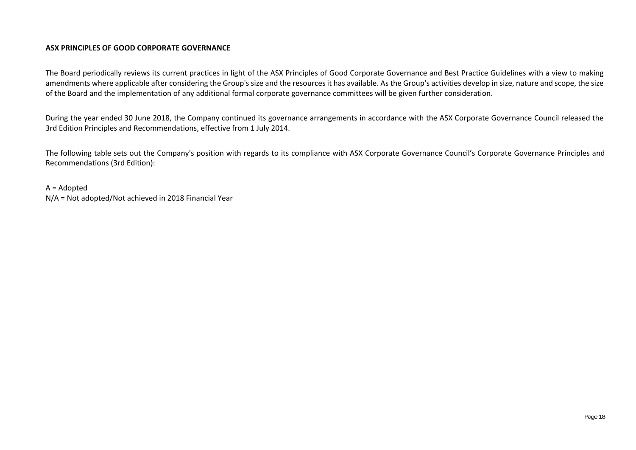#### **ASX PRINCIPLES OF GOOD CORPORATE GOVERNANCE**

The Board periodically reviews its current practices in light of the ASX Principles of Good Corporate Governance and Best Practice Guidelines with a view to making amendments where applicable after considering the Group's size and the resources it has available. As the Group's activities develop in size, nature and scope, the size of the Board and the implementation of any additional formal corporate governance committees will be given further consideration.

During the year ended 30 June 2018, the Company continued its governance arrangements in accordance with the ASX Corporate Governance Council released the 3rd Edition Principles and Recommendations, effective from 1 July 2014.

The following table sets out the Company's position with regards to its compliance with ASX Corporate Governance Council's Corporate Governance Principles and Recommendations (3rd Edition):

A = Adopted N/A = Not adopted/Not achieved in 2018 Financial Year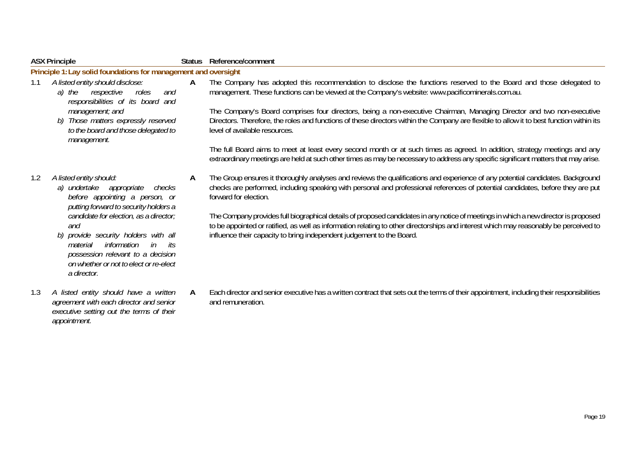|     | <b>ASX Principle</b>                                                                                                                                                                                                                                                                                                                                                    |   | Status Reference/comment                                                                                                                                                                                                                                                                                                                                                                                                                                                                                                                                                                                                                                                                                                                                                                          |
|-----|-------------------------------------------------------------------------------------------------------------------------------------------------------------------------------------------------------------------------------------------------------------------------------------------------------------------------------------------------------------------------|---|---------------------------------------------------------------------------------------------------------------------------------------------------------------------------------------------------------------------------------------------------------------------------------------------------------------------------------------------------------------------------------------------------------------------------------------------------------------------------------------------------------------------------------------------------------------------------------------------------------------------------------------------------------------------------------------------------------------------------------------------------------------------------------------------------|
|     | Principle 1: Lay solid foundations for management and oversight                                                                                                                                                                                                                                                                                                         |   |                                                                                                                                                                                                                                                                                                                                                                                                                                                                                                                                                                                                                                                                                                                                                                                                   |
| 1.1 | A listed entity should disclose:<br>a) the<br>respective<br>roles<br>and<br>responsibilities of its board and<br>management; and<br>b) Those matters expressly reserved<br>to the board and those delegated to<br>management.                                                                                                                                           | A | The Company has adopted this recommendation to disclose the functions reserved to the Board and those delegated to<br>management. These functions can be viewed at the Company's website: www.pacificominerals.com.au.<br>The Company's Board comprises four directors, being a non-executive Chairman, Managing Director and two non-executive<br>Directors. Therefore, the roles and functions of these directors within the Company are flexible to allow it to best function within its<br>level of available resources.<br>The full Board aims to meet at least every second month or at such times as agreed. In addition, strategy meetings and any<br>extraordinary meetings are held at such other times as may be necessary to address any specific significant matters that may arise. |
|     |                                                                                                                                                                                                                                                                                                                                                                         |   |                                                                                                                                                                                                                                                                                                                                                                                                                                                                                                                                                                                                                                                                                                                                                                                                   |
| 1.2 | A listed entity should:<br>a) undertake appropriate<br>checks<br>before appointing a person, or<br>putting forward to security holders a<br>candidate for election, as a director;<br>and<br>b) provide security holders with all<br>in<br>information<br>material<br>its<br>possession relevant to a decision<br>on whether or not to elect or re-elect<br>a director. | A | The Group ensures it thoroughly analyses and reviews the qualifications and experience of any potential candidates. Background<br>checks are performed, including speaking with personal and professional references of potential candidates, before they are put<br>forward for election.<br>The Company provides full biographical details of proposed candidates in any notice of meetings in which a new director is proposed<br>to be appointed or ratified, as well as information relating to other directorships and interest which may reasonably be perceived to<br>influence their capacity to bring independent judgement to the Board.                                                                                                                                               |
| 1.3 | A listed entity should have a written<br>agreement with each director and senior<br>executive setting out the terms of their<br>appointment.                                                                                                                                                                                                                            | A | Each director and senior executive has a written contract that sets out the terms of their appointment, including their responsibilities<br>and remuneration.                                                                                                                                                                                                                                                                                                                                                                                                                                                                                                                                                                                                                                     |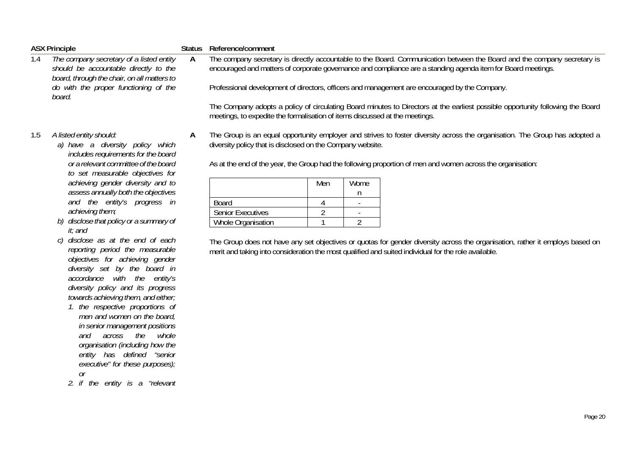|     | <b>ASX Principle</b>                                                                                                                                                                                                                                                                                                                                                                                                                                                                                                                                                                                                                                                                                                                                                                                                                                                                                                                                                                                                           | <b>Status</b> | Reference/comment                                                                                                                                                                                    |                            |                                                                   |                                                                                                                                                                                                                                                                                                                                                                                                                                                                                     |
|-----|--------------------------------------------------------------------------------------------------------------------------------------------------------------------------------------------------------------------------------------------------------------------------------------------------------------------------------------------------------------------------------------------------------------------------------------------------------------------------------------------------------------------------------------------------------------------------------------------------------------------------------------------------------------------------------------------------------------------------------------------------------------------------------------------------------------------------------------------------------------------------------------------------------------------------------------------------------------------------------------------------------------------------------|---------------|------------------------------------------------------------------------------------------------------------------------------------------------------------------------------------------------------|----------------------------|-------------------------------------------------------------------|-------------------------------------------------------------------------------------------------------------------------------------------------------------------------------------------------------------------------------------------------------------------------------------------------------------------------------------------------------------------------------------------------------------------------------------------------------------------------------------|
| 1.4 | The company secretary of a listed entity<br>should be accountable directly to the<br>board, through the chair, on all matters to<br>do with the proper functioning of the<br>board.                                                                                                                                                                                                                                                                                                                                                                                                                                                                                                                                                                                                                                                                                                                                                                                                                                            | $\mathsf{A}$  |                                                                                                                                                                                                      |                            |                                                                   | The company secretary is directly accountable to the Board. Communication between the Board and the company secretary is<br>encouraged and matters of corporate governance and compliance are a standing agenda item for Board meetings.<br>Professional development of directors, officers and management are encouraged by the Company.<br>The Company adopts a policy of circulating Board minutes to Directors at the earliest possible opportunity following the Board         |
| 1.5 | A listed entity should:<br>a) have a diversity policy which<br>includes requirements for the board<br>or a relevant committee of the board<br>to set measurable objectives for<br>achieving gender diversity and to<br>assess annually both the objectives<br>and the entity's progress in<br>achieving them;<br>disclose that policy or a summary of<br>b)<br>it; and<br>disclose as at the end of each<br>C)<br>reporting period the measurable<br>objectives for achieving gender<br>diversity set by the board in<br>accordance with the entity's<br>diversity policy and its progress<br>towards achieving them, and either;<br>1. the respective proportions of<br>men and women on the board,<br>in senior management positions<br>across the<br>whole<br>and<br>organisation (including how the<br>entity has defined "senior<br>executive" for these purposes);<br>Оr<br>the contract of the contract of the contract of the contract of the contract of the contract of the contract of<br>$\mathbf{r} = \mathbf{r}$ | A             | meetings, to expedite the formalisation of items discussed at the meetings.<br>diversity policy that is disclosed on the Company website.<br>Board<br><b>Senior Executives</b><br>Whole Organisation | Men<br>4<br>$\overline{2}$ | Wome<br>n<br>$\overline{\phantom{a}}$<br>$\sim$<br>$\overline{2}$ | The Group is an equal opportunity employer and strives to foster diversity across the organisation. The Group has adopted a<br>As at the end of the year, the Group had the following proportion of men and women across the organisation:<br>The Group does not have any set objectives or quotas for gender diversity across the organisation, rather it employs based on<br>merit and taking into consideration the most qualified and suited individual for the role available. |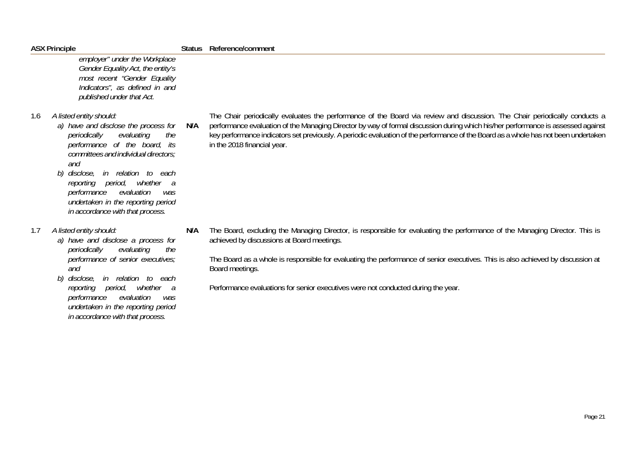|     | <b>ASX Principle</b>                                                                                                                                                                                                                                                                                                                                                        | <b>Status</b> | Reference/comment                                                                                                                                                                                                                                                                                                                                                                                                                    |
|-----|-----------------------------------------------------------------------------------------------------------------------------------------------------------------------------------------------------------------------------------------------------------------------------------------------------------------------------------------------------------------------------|---------------|--------------------------------------------------------------------------------------------------------------------------------------------------------------------------------------------------------------------------------------------------------------------------------------------------------------------------------------------------------------------------------------------------------------------------------------|
|     | employer" under the Workplace<br>Gender Equality Act, the entity's<br>most recent "Gender Equality<br>Indicators", as defined in and<br>published under that Act.                                                                                                                                                                                                           |               |                                                                                                                                                                                                                                                                                                                                                                                                                                      |
| 1.6 | A listed entity should:<br>a) have and disclose the process for<br>periodically<br>evaluating<br>the<br>performance of the board, its<br>committees and individual directors;<br>and<br>disclose, in relation to each<br>b)<br>reporting period,<br>whether a<br>performance<br>evaluation<br>was<br>undertaken in the reporting period<br>in accordance with that process. | N/A           | The Chair periodically evaluates the performance of the Board via review and discussion. The Chair periodically conducts a<br>performance evaluation of the Managing Director by way of formal discussion during which his/her performance is assessed against<br>key performance indicators set previously. A periodic evaluation of the performance of the Board as a whole has not been undertaken<br>in the 2018 financial year. |
| 1.7 | A listed entity should:<br>a) have and disclose a process for<br>periodically<br>evaluating<br>the<br>performance of senior executives;<br>and<br>disclose, in relation to each<br>b)<br>whether a<br>reporting period,<br>evaluation<br>performance<br>was<br>undertaken in the reporting period<br>in accordance with that process.                                       | N/A           | The Board, excluding the Managing Director, is responsible for evaluating the performance of the Managing Director. This is<br>achieved by discussions at Board meetings.<br>The Board as a whole is responsible for evaluating the performance of senior executives. This is also achieved by discussion at<br>Board meetings.<br>Performance evaluations for senior executives were not conducted during the year.                 |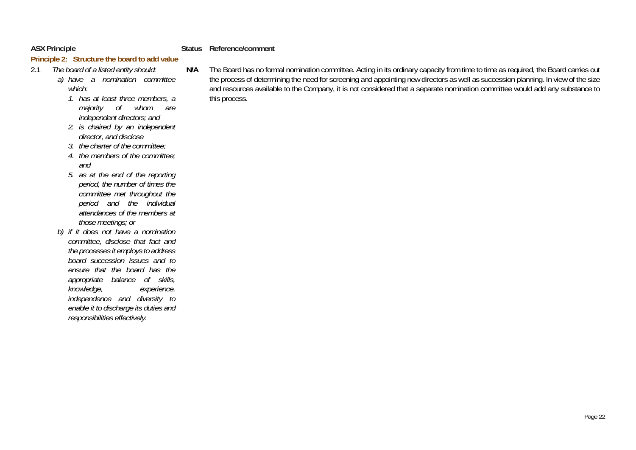| <b>ASX Principle</b> | Status Reference/comment |
|----------------------|--------------------------|

## **Principle 2: Structure the board to add value**

- 2.1 *The board of a listed entity should: a) have a nomination committee which:* 
	- *1. has at least three members, a majority of whom are independent directors; and*
	- *2. is chaired by an independent director, and disclose*
	- *3. the charter of the committee;*
	- *4. the members of the committee; and*
	- *5. as at the end of the reporting period, the number of times the committee met throughout the period and the individual attendances of the members at those meetings; or*
	- *b) if it does not have a nomination committee, disclose that fact and the processes it employs to address board succession issues and to ensure that the board has the appropriate balance of skills, knowledge, experience, independence and diversity to enable it to discharge its duties and responsibilities effectively.*

**N/A** The Board has no formal nomination committee. Acting in its ordinary capacity from time to time as required, the Board carries out the process of determining the need for screening and appointing new directors as well as succession planning. In view of the size and resources available to the Company, it is not considered that a separate nomination committee would add any substance to this process.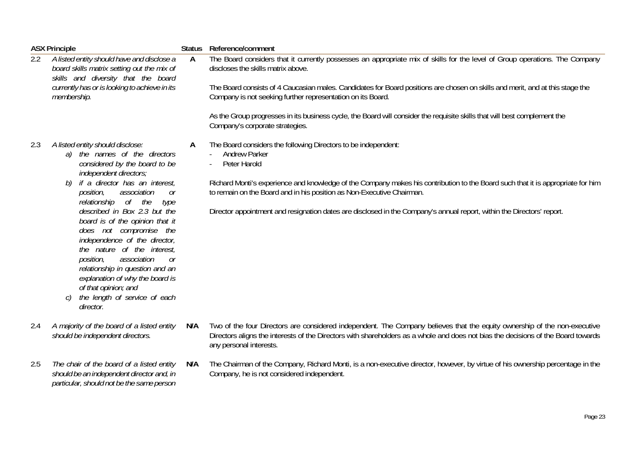|                                                                                                                                                                                                        | <b>ASX Principle</b>                                                                                                                                                                                                                                                                                                                                                                                                                                                                                                                                                                                  |     | Status Reference/comment                                                                                                                                                                                                                                                                                                                                                                                                                                                                       |
|--------------------------------------------------------------------------------------------------------------------------------------------------------------------------------------------------------|-------------------------------------------------------------------------------------------------------------------------------------------------------------------------------------------------------------------------------------------------------------------------------------------------------------------------------------------------------------------------------------------------------------------------------------------------------------------------------------------------------------------------------------------------------------------------------------------------------|-----|------------------------------------------------------------------------------------------------------------------------------------------------------------------------------------------------------------------------------------------------------------------------------------------------------------------------------------------------------------------------------------------------------------------------------------------------------------------------------------------------|
| 2.2<br>A listed entity should have and disclose a<br>board skills matrix setting out the mix of<br>skills and diversity that the board<br>currently has or is looking to achieve in its<br>membership. |                                                                                                                                                                                                                                                                                                                                                                                                                                                                                                                                                                                                       | A   | The Board considers that it currently possesses an appropriate mix of skills for the level of Group operations. The Company<br>discloses the skills matrix above.<br>The Board consists of 4 Caucasian males. Candidates for Board positions are chosen on skills and merit, and at this stage the<br>Company is not seeking further representation on its Board.<br>As the Group progresses in its business cycle, the Board will consider the requisite skills that will best complement the |
|                                                                                                                                                                                                        |                                                                                                                                                                                                                                                                                                                                                                                                                                                                                                                                                                                                       |     | Company's corporate strategies.                                                                                                                                                                                                                                                                                                                                                                                                                                                                |
| 2.3                                                                                                                                                                                                    | A listed entity should disclose:<br>the names of the directors<br>a)<br>considered by the board to be<br>independent directors;<br>if a director has an interest,<br>b)<br>position,<br>association<br><sub>or</sub><br>relationship of the<br>type<br>described in Box 2.3 but the<br>board is of the opinion that it<br>does not compromise the<br>independence of the director,<br>the nature of the interest,<br>association<br>position,<br>0r<br>relationship in question and an<br>explanation of why the board is<br>of that opinion; and<br>the length of service of each<br>C)<br>director. | A   | The Board considers the following Directors to be independent:<br><b>Andrew Parker</b><br>Peter Harold<br>Richard Monti's experience and knowledge of the Company makes his contribution to the Board such that it is appropriate for him<br>to remain on the Board and in his position as Non-Executive Chairman.<br>Director appointment and resignation dates are disclosed in the Company's annual report, within the Directors' report.                                                   |
| 2.4                                                                                                                                                                                                    | A majority of the board of a listed entity<br>should be independent directors.                                                                                                                                                                                                                                                                                                                                                                                                                                                                                                                        | N/A | Two of the four Directors are considered independent. The Company believes that the equity ownership of the non-executive<br>Directors aligns the interests of the Directors with shareholders as a whole and does not bias the decisions of the Board towards<br>any personal interests.                                                                                                                                                                                                      |
| 2.5                                                                                                                                                                                                    | The chair of the board of a listed entity<br>should be an independent director and, in<br>particular, should not be the same person                                                                                                                                                                                                                                                                                                                                                                                                                                                                   | N/A | The Chairman of the Company, Richard Monti, is a non-executive director, however, by virtue of his ownership percentage in the<br>Company, he is not considered independent.                                                                                                                                                                                                                                                                                                                   |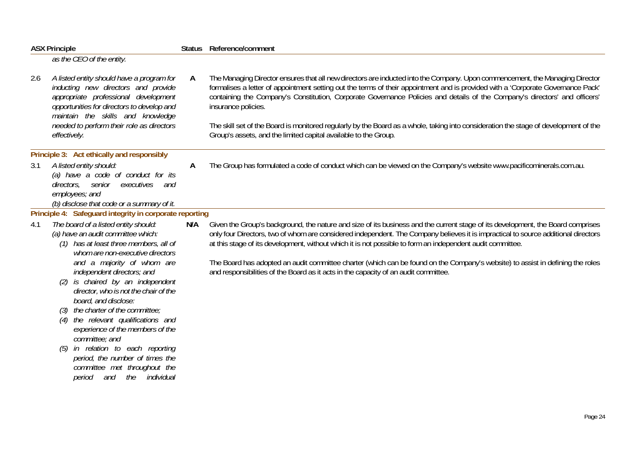| <b>ASX Principle</b> |                                                                                                                                                                                                                                                                                                                                                                                                                                                                                                                                                                                                  |     | Status Reference/comment                                                                                                                                                                                                                                                                                                                                                                                                                                                                                                                                                                                     |  |  |  |
|----------------------|--------------------------------------------------------------------------------------------------------------------------------------------------------------------------------------------------------------------------------------------------------------------------------------------------------------------------------------------------------------------------------------------------------------------------------------------------------------------------------------------------------------------------------------------------------------------------------------------------|-----|--------------------------------------------------------------------------------------------------------------------------------------------------------------------------------------------------------------------------------------------------------------------------------------------------------------------------------------------------------------------------------------------------------------------------------------------------------------------------------------------------------------------------------------------------------------------------------------------------------------|--|--|--|
|                      | as the CEO of the entity.                                                                                                                                                                                                                                                                                                                                                                                                                                                                                                                                                                        |     |                                                                                                                                                                                                                                                                                                                                                                                                                                                                                                                                                                                                              |  |  |  |
| 2.6                  | A listed entity should have a program for<br>inducting new directors and provide<br>appropriate professional development<br>opportunities for directors to develop and<br>maintain the skills and knowledge<br>needed to perform their role as directors                                                                                                                                                                                                                                                                                                                                         | A   | The Managing Director ensures that all new directors are inducted into the Company. Upon commencement, the Managing Director<br>formalises a letter of appointment setting out the terms of their appointment and is provided with a 'Corporate Governance Pack'<br>containing the Company's Constitution, Corporate Governance Policies and details of the Company's directors' and officers'<br>insurance policies.<br>The skill set of the Board is monitored regularly by the Board as a whole, taking into consideration the stage of development of the                                                |  |  |  |
|                      | effectively.                                                                                                                                                                                                                                                                                                                                                                                                                                                                                                                                                                                     |     | Group's assets, and the limited capital available to the Group.                                                                                                                                                                                                                                                                                                                                                                                                                                                                                                                                              |  |  |  |
|                      | Principle 3: Act ethically and responsibly                                                                                                                                                                                                                                                                                                                                                                                                                                                                                                                                                       |     |                                                                                                                                                                                                                                                                                                                                                                                                                                                                                                                                                                                                              |  |  |  |
| 3.1                  | A listed entity should:<br>(a) have a code of conduct for its<br>directors, senior<br>executives<br>and<br>employees; and<br>(b) disclose that code or a summary of it.                                                                                                                                                                                                                                                                                                                                                                                                                          | A   | The Group has formulated a code of conduct which can be viewed on the Company's website www.pacificominerals.com.au.                                                                                                                                                                                                                                                                                                                                                                                                                                                                                         |  |  |  |
|                      | Principle 4: Safeguard integrity in corporate reporting                                                                                                                                                                                                                                                                                                                                                                                                                                                                                                                                          |     |                                                                                                                                                                                                                                                                                                                                                                                                                                                                                                                                                                                                              |  |  |  |
| 4.1                  | The board of a listed entity should:<br>(a) have an audit committee which:<br>(1) has at least three members, all of<br>whom are non-executive directors<br>and a majority of whom are<br>independent directors; and<br>is chaired by an independent<br>director, who is not the chair of the<br>board, and disclose:<br>the charter of the committee;<br>the relevant qualifications and<br>experience of the members of the<br>committee; and<br>in relation to each reporting<br>(5)<br>period, the number of times the<br>committee met throughout the<br>the<br>individual<br>period<br>and | N/A | Given the Group's background, the nature and size of its business and the current stage of its development, the Board comprises<br>only four Directors, two of whom are considered independent. The Company believes it is impractical to source additional directors<br>at this stage of its development, without which it is not possible to form an independent audit committee.<br>The Board has adopted an audit committee charter (which can be found on the Company's website) to assist in defining the roles<br>and responsibilities of the Board as it acts in the capacity of an audit committee. |  |  |  |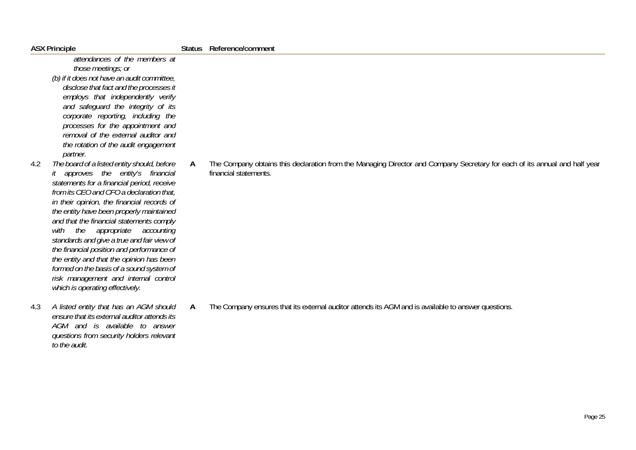*attendances of the members at those meetings; or (b) if it does not have an audit committee, disclose that fact and the processes it employs that independently verify and safeguard the integrity of its corporate reporting, including the processes for the appointment and removal of the external auditor and the rotation of the audit engagement partner.* 

- 4.2 *The board of a listed entity should, before it approves the entity's financial statements for a financial period, receive from its CEO and CFO a declaration that, in their opinion, the financial records of the entity have been properly maintained and that the financial statements comply with the appropriate accounting standards and give a true and fair view of the financial position and performance of the entity and that the opinion has been formed on the basis of a sound system of risk management and internal control which is operating effectively.*
- 4.3 *A listed entity that has an AGM should ensure that its external auditor attends its AGM and is available to answer questions from security holders relevant to the audit.*

**A** The Company obtains this declaration from the Managing Director and Company Secretary for each of its annual and half year financial statements.

**A** The Company ensures that its external auditor attends its AGM and is available to answer questions.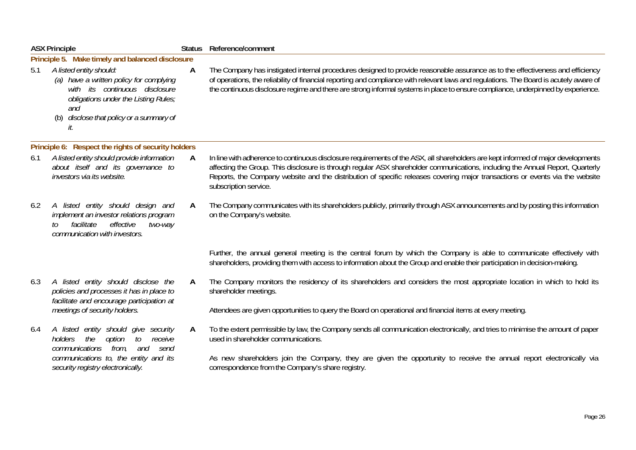|     | <b>ASX Principle</b>                                                                                                                                                                                   | <b>Status</b> | Reference/comment                                                                                                                                                                                                                                                                                                                                                                                                            |
|-----|--------------------------------------------------------------------------------------------------------------------------------------------------------------------------------------------------------|---------------|------------------------------------------------------------------------------------------------------------------------------------------------------------------------------------------------------------------------------------------------------------------------------------------------------------------------------------------------------------------------------------------------------------------------------|
|     | Principle 5. Make timely and balanced disclosure                                                                                                                                                       |               |                                                                                                                                                                                                                                                                                                                                                                                                                              |
| 5.1 | A listed entity should:<br>(a) have a written policy for complying<br>with its continuous disclosure<br>obligations under the Listing Rules;<br>and<br>(b) disclose that policy or a summary of<br>it. | A             | The Company has instigated internal procedures designed to provide reasonable assurance as to the effectiveness and efficiency<br>of operations, the reliability of financial reporting and compliance with relevant laws and regulations. The Board is acutely aware of<br>the continuous disclosure regime and there are strong informal systems in place to ensure compliance, underpinned by experience.                 |
|     | Principle 6: Respect the rights of security holders                                                                                                                                                    |               |                                                                                                                                                                                                                                                                                                                                                                                                                              |
| 6.1 | A listed entity should provide information<br>about itself and its governance to<br>investors via its website.                                                                                         | A             | In line with adherence to continuous disclosure requirements of the ASX, all shareholders are kept informed of major developments<br>affecting the Group. This disclosure is through regular ASX shareholder communications, including the Annual Report, Quarterly<br>Reports, the Company website and the distribution of specific releases covering major transactions or events via the website<br>subscription service. |
| 6.2 | A listed entity should design and<br>implement an investor relations program<br>facilitate<br>effective<br>two-way<br>to<br>communication with investors.                                              | A             | The Company communicates with its shareholders publicly, primarily through ASX announcements and by posting this information<br>on the Company's website.                                                                                                                                                                                                                                                                    |
|     |                                                                                                                                                                                                        |               | Further, the annual general meeting is the central forum by which the Company is able to communicate effectively with<br>shareholders, providing them with access to information about the Group and enable their participation in decision-making.                                                                                                                                                                          |
| 6.3 | A listed entity should disclose the<br>policies and processes it has in place to<br>facilitate and encourage participation at                                                                          | A             | The Company monitors the residency of its shareholders and considers the most appropriate location in which to hold its<br>shareholder meetings.                                                                                                                                                                                                                                                                             |
|     | meetings of security holders.                                                                                                                                                                          |               | Attendees are given opportunities to query the Board on operational and financial items at every meeting.                                                                                                                                                                                                                                                                                                                    |
| 6.4 | A listed entity should give security<br>the<br>option<br>to<br>receive<br>holders<br>communications from,<br>and<br>send                                                                               | A             | To the extent permissible by law, the Company sends all communication electronically, and tries to minimise the amount of paper<br>used in shareholder communications.                                                                                                                                                                                                                                                       |
|     | communications to, the entity and its<br>security registry electronically.                                                                                                                             |               | As new shareholders join the Company, they are given the opportunity to receive the annual report electronically via<br>correspondence from the Company's share registry.                                                                                                                                                                                                                                                    |
|     |                                                                                                                                                                                                        |               |                                                                                                                                                                                                                                                                                                                                                                                                                              |
|     |                                                                                                                                                                                                        |               | Page 26                                                                                                                                                                                                                                                                                                                                                                                                                      |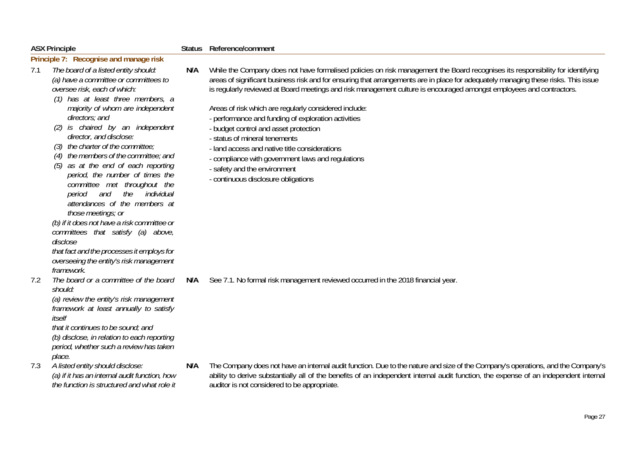|     | <b>ASX Principle</b>                                                                                                                                                                                                                                                                                                                                                                                                                                                                                                                                                                                                                                                                                                                                                   |     | Reference/comment                                                                                                                                                                                                                                                                                                                                                                                                                                                                                                                                                                                                                                                                                                                                                   |  |  |
|-----|------------------------------------------------------------------------------------------------------------------------------------------------------------------------------------------------------------------------------------------------------------------------------------------------------------------------------------------------------------------------------------------------------------------------------------------------------------------------------------------------------------------------------------------------------------------------------------------------------------------------------------------------------------------------------------------------------------------------------------------------------------------------|-----|---------------------------------------------------------------------------------------------------------------------------------------------------------------------------------------------------------------------------------------------------------------------------------------------------------------------------------------------------------------------------------------------------------------------------------------------------------------------------------------------------------------------------------------------------------------------------------------------------------------------------------------------------------------------------------------------------------------------------------------------------------------------|--|--|
|     | Principle 7: Recognise and manage risk                                                                                                                                                                                                                                                                                                                                                                                                                                                                                                                                                                                                                                                                                                                                 |     |                                                                                                                                                                                                                                                                                                                                                                                                                                                                                                                                                                                                                                                                                                                                                                     |  |  |
| 7.1 | The board of a listed entity should:<br>(a) have a committee or committees to<br>oversee risk, each of which:<br>(1) has at least three members, a<br>majority of whom are independent<br>directors; and<br>(2) is chaired by an independent<br>director, and disclose:<br>(3) the charter of the committee;<br>$(4)$ the members of the committee; and<br>(5) as at the end of each reporting<br>period, the number of times the<br>committee met throughout the<br>the<br>individual<br>and<br>period<br>attendances of the members at<br>those meetings; or<br>(b) if it does not have a risk committee or<br>committees that satisfy (a) above,<br>disclose<br>that fact and the processes it employs for<br>overseeing the entity's risk management<br>framework. | N/A | While the Company does not have formalised policies on risk management the Board recognises its responsibility for identifying<br>areas of significant business risk and for ensuring that arrangements are in place for adequately managing these risks. This issue<br>is regularly reviewed at Board meetings and risk management culture is encouraged amongst employees and contractors.<br>Areas of risk which are regularly considered include:<br>- performance and funding of exploration activities<br>- budget control and asset protection<br>- status of mineral tenements<br>- land access and native title considerations<br>- compliance with government laws and regulations<br>- safety and the environment<br>- continuous disclosure obligations |  |  |
| 7.2 | The board or a committee of the board<br>should:<br>(a) review the entity's risk management<br>framework at least annually to satisfy<br>itself<br>that it continues to be sound; and<br>(b) disclose, in relation to each reporting<br>period, whether such a review has taken<br>place.                                                                                                                                                                                                                                                                                                                                                                                                                                                                              | N/A | See 7.1. No formal risk management reviewed occurred in the 2018 financial year.                                                                                                                                                                                                                                                                                                                                                                                                                                                                                                                                                                                                                                                                                    |  |  |
| 7.3 | A listed entity should disclose:<br>(a) if it has an internal audit function, how<br>the function is structured and what role it                                                                                                                                                                                                                                                                                                                                                                                                                                                                                                                                                                                                                                       | N/A | The Company does not have an internal audit function. Due to the nature and size of the Company's operations, and the Company's<br>ability to derive substantially all of the benefits of an independent internal audit function, the expense of an independent internal<br>auditor is not considered to be appropriate.                                                                                                                                                                                                                                                                                                                                                                                                                                            |  |  |
|     |                                                                                                                                                                                                                                                                                                                                                                                                                                                                                                                                                                                                                                                                                                                                                                        |     |                                                                                                                                                                                                                                                                                                                                                                                                                                                                                                                                                                                                                                                                                                                                                                     |  |  |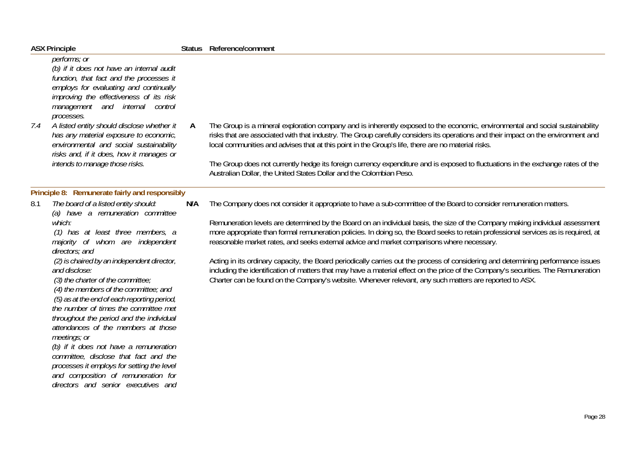| <b>ASX Principle</b>                                                                                                                                                                                                                                                                                                                                                                                                                                                                                                                                                                                                                                                                                                                                                                           |     | Status Reference/comment                                                                                                                                                                                                                                                                                                                                                                                                                                                                                                                                                                                                                                                                                                                                                                                                                                                       |
|------------------------------------------------------------------------------------------------------------------------------------------------------------------------------------------------------------------------------------------------------------------------------------------------------------------------------------------------------------------------------------------------------------------------------------------------------------------------------------------------------------------------------------------------------------------------------------------------------------------------------------------------------------------------------------------------------------------------------------------------------------------------------------------------|-----|--------------------------------------------------------------------------------------------------------------------------------------------------------------------------------------------------------------------------------------------------------------------------------------------------------------------------------------------------------------------------------------------------------------------------------------------------------------------------------------------------------------------------------------------------------------------------------------------------------------------------------------------------------------------------------------------------------------------------------------------------------------------------------------------------------------------------------------------------------------------------------|
| performs; or<br>(b) if it does not have an internal audit<br>function, that fact and the processes it<br>employs for evaluating and continually<br>improving the effectiveness of its risk<br>management and internal control<br>processes.<br>A listed entity should disclose whether it<br>7.4<br>has any material exposure to economic,<br>environmental and social sustainability<br>risks and, if it does, how it manages or<br>intends to manage those risks.                                                                                                                                                                                                                                                                                                                            | A   | The Group is a mineral exploration company and is inherently exposed to the economic, environmental and social sustainability<br>risks that are associated with that industry. The Group carefully considers its operations and their impact on the environment and<br>local communities and advises that at this point in the Group's life, there are no material risks.<br>The Group does not currently hedge its foreign currency expenditure and is exposed to fluctuations in the exchange rates of the<br>Australian Dollar, the United States Dollar and the Colombian Peso.                                                                                                                                                                                                                                                                                            |
|                                                                                                                                                                                                                                                                                                                                                                                                                                                                                                                                                                                                                                                                                                                                                                                                |     |                                                                                                                                                                                                                                                                                                                                                                                                                                                                                                                                                                                                                                                                                                                                                                                                                                                                                |
| Principle 8: Remunerate fairly and responsibly<br>The board of a listed entity should:<br>8.1<br>(a) have a remuneration committee<br>which:<br>(1) has at least three members, a<br>majority of whom are independent<br>directors; and<br>(2) is chaired by an independent director,<br>and disclose:<br>(3) the charter of the committee;<br>(4) the members of the committee; and<br>(5) as at the end of each reporting period,<br>the number of times the committee met<br>throughout the period and the individual<br>attendances of the members at those<br>meetings; or<br>(b) if it does not have a remuneration<br>committee, disclose that fact and the<br>processes it employs for setting the level<br>and composition of remuneration for<br>directors and senior executives and | N/A | The Company does not consider it appropriate to have a sub-committee of the Board to consider remuneration matters.<br>Remuneration levels are determined by the Board on an individual basis, the size of the Company making individual assessment<br>more appropriate than formal remuneration policies. In doing so, the Board seeks to retain professional services as is required, at<br>reasonable market rates, and seeks external advice and market comparisons where necessary.<br>Acting in its ordinary capacity, the Board periodically carries out the process of considering and determining performance issues<br>including the identification of matters that may have a material effect on the price of the Company's securities. The Remuneration<br>Charter can be found on the Company's website. Whenever relevant, any such matters are reported to ASX. |